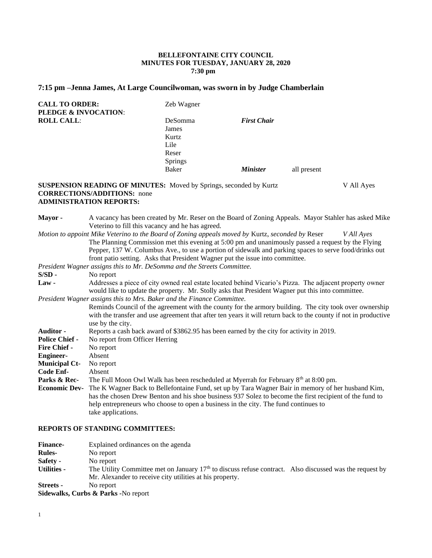## **BELLEFONTAINE CITY COUNCIL MINUTES FOR TUESDAY, JANUARY 28, 2020 7:30 pm**

# **7:15 pm –Jenna James, At Large Councilwoman, was sworn in by Judge Chamberlain**

| <b>CALL TO ORDER:</b><br><b>PLEDGE &amp; INVOCATION:</b> | Zeb Wagner                                            |                    |             |
|----------------------------------------------------------|-------------------------------------------------------|--------------------|-------------|
| <b>ROLL CALL:</b>                                        | DeSomma<br>James<br>Kurtz<br>Lile<br>Reser<br>Springs | <b>First Chair</b> |             |
|                                                          | <b>Baker</b>                                          | <b>Minister</b>    | all present |

## **SUSPENSION READING OF MINUTES:** Moved by Springs, seconded by Kurtz V All Ayes **CORRECTIONS/ADDITIONS:** none **ADMINISTRATION REPORTS:**

| A vacancy has been created by Mr. Reser on the Board of Zoning Appeals. Mayor Stahler has asked Mike            |  |  |  |
|-----------------------------------------------------------------------------------------------------------------|--|--|--|
| Veterino to fill this vacancy and he has agreed.                                                                |  |  |  |
| Motion to appoint Mike Veterino to the Board of Zoning appeals moved by Kurtz, seconded by Reser<br>V All Ayes  |  |  |  |
| The Planning Commission met this evening at 5:00 pm and unanimously passed a request by the Flying              |  |  |  |
| Pepper, 137 W. Columbus Ave., to use a portion of sidewalk and parking spaces to serve food/drinks out          |  |  |  |
| front patio setting. Asks that President Wagner put the issue into committee.                                   |  |  |  |
| President Wagner assigns this to Mr. DeSomma and the Streets Committee.                                         |  |  |  |
| No report                                                                                                       |  |  |  |
| Addresses a piece of city owned real estate located behind Vicario's Pizza. The adjacent property owner         |  |  |  |
| would like to update the property. Mr. Stolly asks that President Wagner put this into committee.               |  |  |  |
| President Wagner assigns this to Mrs. Baker and the Finance Committee.                                          |  |  |  |
| Reminds Council of the agreement with the county for the armory building. The city took over ownership          |  |  |  |
| with the transfer and use agreement that after ten years it will return back to the county if not in productive |  |  |  |
| use by the city.                                                                                                |  |  |  |
| Reports a cash back award of \$3862.95 has been earned by the city for activity in 2019.                        |  |  |  |
| No report from Officer Herring                                                                                  |  |  |  |
| No report                                                                                                       |  |  |  |
| Absent                                                                                                          |  |  |  |
| No report                                                                                                       |  |  |  |
| Absent                                                                                                          |  |  |  |
| The Full Moon Owl Walk has been rescheduled at Myerrah for February 8 <sup>th</sup> at 8:00 pm.                 |  |  |  |
| The K Wagner Back to Bellefontaine Fund, set up by Tara Wagner Bair in memory of her husband Kim,               |  |  |  |
| has the chosen Drew Benton and his shoe business 937 Solez to become the first recipient of the fund to         |  |  |  |
| help entrepreneurs who choose to open a business in the city. The fund continues to                             |  |  |  |
| take applications.                                                                                              |  |  |  |
|                                                                                                                 |  |  |  |

## **REPORTS OF STANDING COMMITTEES:**

| <b>Finance-</b>    | Explained ordinances on the agenda                                                                        |
|--------------------|-----------------------------------------------------------------------------------------------------------|
| <b>Rules-</b>      | No report                                                                                                 |
| Safety -           | No report                                                                                                 |
| <b>Utilities -</b> | The Utility Committee met on January $17th$ to discuss refuse contract. Also discussed was the request by |
|                    | Mr. Alexander to receive city utilities at his property.                                                  |
| <b>Streets -</b>   | No report                                                                                                 |
|                    | Sidewalks, Curbs & Parks -No report                                                                       |